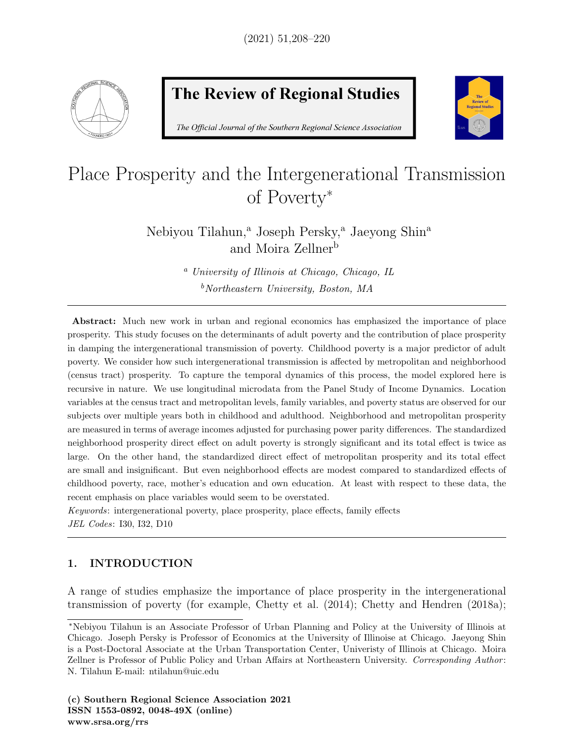

# **The Review of Regional Studies**

The Official Journal of the Southern Regional Science Association



# Place Prosperity and the Intergenerational Transmission of Poverty<sup>∗</sup>

Nebiyou Tilahun,<sup>a</sup> Joseph Persky,<sup>a</sup> Jaeyong Shin<sup>a</sup> and Moira Zellner<sup>b</sup>

> <sup>a</sup> University of Illinois at Chicago, Chicago, IL  $b$ Northeastern University, Boston, MA

Abstract: Much new work in urban and regional economics has emphasized the importance of place prosperity. This study focuses on the determinants of adult poverty and the contribution of place prosperity in damping the intergenerational transmission of poverty. Childhood poverty is a major predictor of adult poverty. We consider how such intergenerational transmission is affected by metropolitan and neighborhood (census tract) prosperity. To capture the temporal dynamics of this process, the model explored here is recursive in nature. We use longitudinal microdata from the Panel Study of Income Dynamics. Location variables at the census tract and metropolitan levels, family variables, and poverty status are observed for our subjects over multiple years both in childhood and adulthood. Neighborhood and metropolitan prosperity are measured in terms of average incomes adjusted for purchasing power parity differences. The standardized neighborhood prosperity direct effect on adult poverty is strongly significant and its total effect is twice as large. On the other hand, the standardized direct effect of metropolitan prosperity and its total effect are small and insignificant. But even neighborhood effects are modest compared to standardized effects of childhood poverty, race, mother's education and own education. At least with respect to these data, the recent emphasis on place variables would seem to be overstated.

Keywords: intergenerational poverty, place prosperity, place effects, family effects JEL Codes: I30, I32, D10

# 1. INTRODUCTION

A range of studies emphasize the importance of place prosperity in the intergenerational transmission of poverty (for example, Chetty et al. (2014); Chetty and Hendren (2018a);

<sup>∗</sup>Nebiyou Tilahun is an Associate Professor of Urban Planning and Policy at the University of Illinois at Chicago. Joseph Persky is Professor of Economics at the University of Illinoise at Chicago. Jaeyong Shin is a Post-Doctoral Associate at the Urban Transportation Center, Univeristy of Illinois at Chicago. Moira Zellner is Professor of Public Policy and Urban Affairs at Northeastern University. Corresponding Author: N. Tilahun E-mail: ntilahun@uic.edu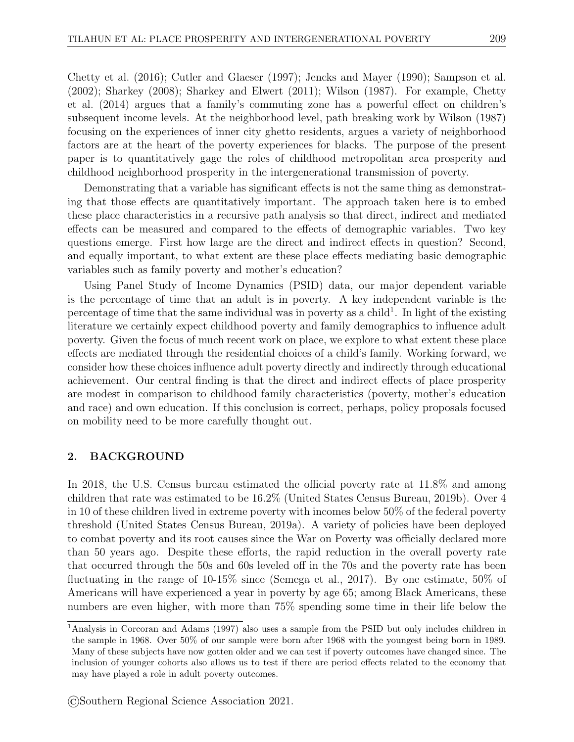Chetty et al. (2016); Cutler and Glaeser (1997); Jencks and Mayer (1990); Sampson et al. (2002); Sharkey (2008); Sharkey and Elwert (2011); Wilson (1987). For example, Chetty et al. (2014) argues that a family's commuting zone has a powerful effect on children's subsequent income levels. At the neighborhood level, path breaking work by Wilson (1987) focusing on the experiences of inner city ghetto residents, argues a variety of neighborhood factors are at the heart of the poverty experiences for blacks. The purpose of the present paper is to quantitatively gage the roles of childhood metropolitan area prosperity and childhood neighborhood prosperity in the intergenerational transmission of poverty.

Demonstrating that a variable has significant effects is not the same thing as demonstrating that those effects are quantitatively important. The approach taken here is to embed these place characteristics in a recursive path analysis so that direct, indirect and mediated effects can be measured and compared to the effects of demographic variables. Two key questions emerge. First how large are the direct and indirect effects in question? Second, and equally important, to what extent are these place effects mediating basic demographic variables such as family poverty and mother's education?

Using Panel Study of Income Dynamics (PSID) data, our major dependent variable is the percentage of time that an adult is in poverty. A key independent variable is the percentage of time that the same individual was in poverty as a child<sup>1</sup>. In light of the existing literature we certainly expect childhood poverty and family demographics to influence adult poverty. Given the focus of much recent work on place, we explore to what extent these place effects are mediated through the residential choices of a child's family. Working forward, we consider how these choices influence adult poverty directly and indirectly through educational achievement. Our central finding is that the direct and indirect effects of place prosperity are modest in comparison to childhood family characteristics (poverty, mother's education and race) and own education. If this conclusion is correct, perhaps, policy proposals focused on mobility need to be more carefully thought out.

#### 2. BACKGROUND

In 2018, the U.S. Census bureau estimated the official poverty rate at 11.8% and among children that rate was estimated to be 16.2% (United States Census Bureau, 2019b). Over 4 in 10 of these children lived in extreme poverty with incomes below 50% of the federal poverty threshold (United States Census Bureau, 2019a). A variety of policies have been deployed to combat poverty and its root causes since the War on Poverty was officially declared more than 50 years ago. Despite these efforts, the rapid reduction in the overall poverty rate that occurred through the 50s and 60s leveled off in the 70s and the poverty rate has been fluctuating in the range of 10-15% since (Semega et al., 2017). By one estimate, 50% of Americans will have experienced a year in poverty by age 65; among Black Americans, these numbers are even higher, with more than 75% spending some time in their life below the

<sup>1</sup>Analysis in Corcoran and Adams (1997) also uses a sample from the PSID but only includes children in the sample in 1968. Over 50% of our sample were born after 1968 with the youngest being born in 1989. Many of these subjects have now gotten older and we can test if poverty outcomes have changed since. The inclusion of younger cohorts also allows us to test if there are period effects related to the economy that may have played a role in adult poverty outcomes.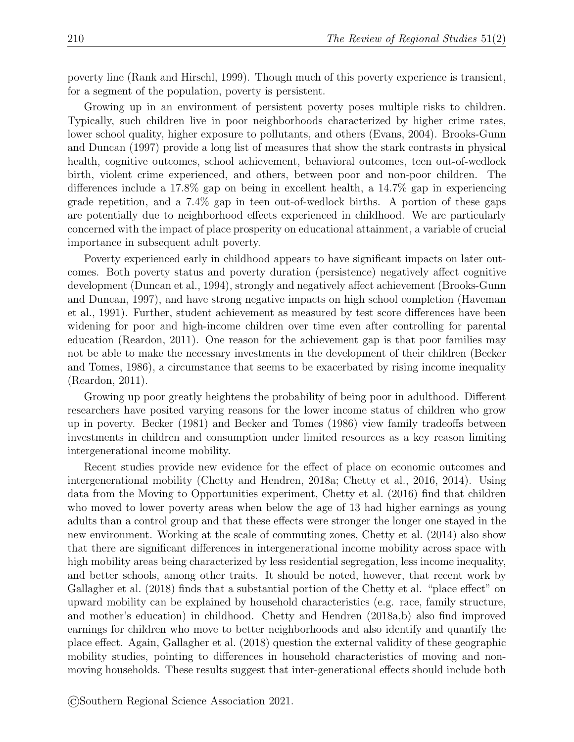poverty line (Rank and Hirschl, 1999). Though much of this poverty experience is transient, for a segment of the population, poverty is persistent.

Growing up in an environment of persistent poverty poses multiple risks to children. Typically, such children live in poor neighborhoods characterized by higher crime rates, lower school quality, higher exposure to pollutants, and others (Evans, 2004). Brooks-Gunn and Duncan (1997) provide a long list of measures that show the stark contrasts in physical health, cognitive outcomes, school achievement, behavioral outcomes, teen out-of-wedlock birth, violent crime experienced, and others, between poor and non-poor children. The differences include a 17.8% gap on being in excellent health, a 14.7% gap in experiencing grade repetition, and a 7.4% gap in teen out-of-wedlock births. A portion of these gaps are potentially due to neighborhood effects experienced in childhood. We are particularly concerned with the impact of place prosperity on educational attainment, a variable of crucial importance in subsequent adult poverty.

Poverty experienced early in childhood appears to have significant impacts on later outcomes. Both poverty status and poverty duration (persistence) negatively affect cognitive development (Duncan et al., 1994), strongly and negatively affect achievement (Brooks-Gunn and Duncan, 1997), and have strong negative impacts on high school completion (Haveman et al., 1991). Further, student achievement as measured by test score differences have been widening for poor and high-income children over time even after controlling for parental education (Reardon, 2011). One reason for the achievement gap is that poor families may not be able to make the necessary investments in the development of their children (Becker and Tomes, 1986), a circumstance that seems to be exacerbated by rising income inequality (Reardon, 2011).

Growing up poor greatly heightens the probability of being poor in adulthood. Different researchers have posited varying reasons for the lower income status of children who grow up in poverty. Becker (1981) and Becker and Tomes (1986) view family tradeoffs between investments in children and consumption under limited resources as a key reason limiting intergenerational income mobility.

Recent studies provide new evidence for the effect of place on economic outcomes and intergenerational mobility (Chetty and Hendren, 2018a; Chetty et al., 2016, 2014). Using data from the Moving to Opportunities experiment, Chetty et al. (2016) find that children who moved to lower poverty areas when below the age of 13 had higher earnings as young adults than a control group and that these effects were stronger the longer one stayed in the new environment. Working at the scale of commuting zones, Chetty et al. (2014) also show that there are significant differences in intergenerational income mobility across space with high mobility areas being characterized by less residential segregation, less income inequality, and better schools, among other traits. It should be noted, however, that recent work by Gallagher et al. (2018) finds that a substantial portion of the Chetty et al. "place effect" on upward mobility can be explained by household characteristics (e.g. race, family structure, and mother's education) in childhood. Chetty and Hendren (2018a,b) also find improved earnings for children who move to better neighborhoods and also identify and quantify the place effect. Again, Gallagher et al. (2018) question the external validity of these geographic mobility studies, pointing to differences in household characteristics of moving and nonmoving households. These results suggest that inter-generational effects should include both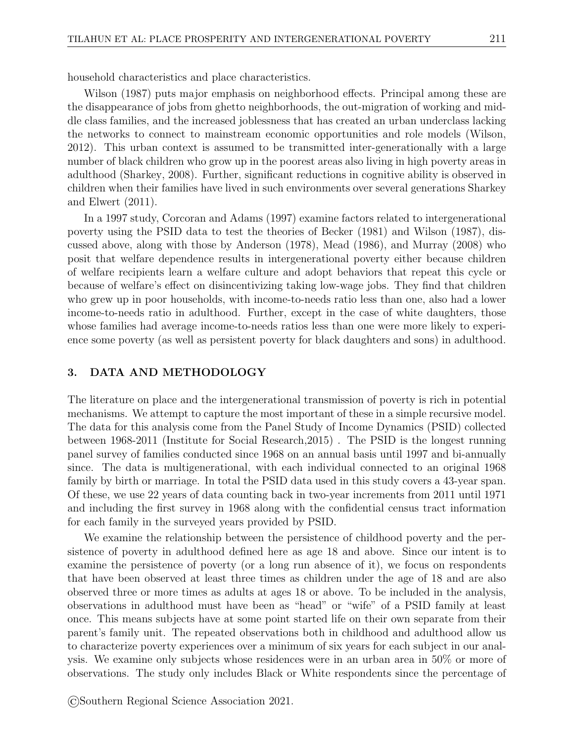household characteristics and place characteristics.

Wilson (1987) puts major emphasis on neighborhood effects. Principal among these are the disappearance of jobs from ghetto neighborhoods, the out-migration of working and middle class families, and the increased joblessness that has created an urban underclass lacking the networks to connect to mainstream economic opportunities and role models (Wilson, 2012). This urban context is assumed to be transmitted inter-generationally with a large number of black children who grow up in the poorest areas also living in high poverty areas in adulthood (Sharkey, 2008). Further, significant reductions in cognitive ability is observed in children when their families have lived in such environments over several generations Sharkey and Elwert (2011).

In a 1997 study, Corcoran and Adams (1997) examine factors related to intergenerational poverty using the PSID data to test the theories of Becker (1981) and Wilson (1987), discussed above, along with those by Anderson (1978), Mead (1986), and Murray (2008) who posit that welfare dependence results in intergenerational poverty either because children of welfare recipients learn a welfare culture and adopt behaviors that repeat this cycle or because of welfare's effect on disincentivizing taking low-wage jobs. They find that children who grew up in poor households, with income-to-needs ratio less than one, also had a lower income-to-needs ratio in adulthood. Further, except in the case of white daughters, those whose families had average income-to-needs ratios less than one were more likely to experience some poverty (as well as persistent poverty for black daughters and sons) in adulthood.

#### 3. DATA AND METHODOLOGY

The literature on place and the intergenerational transmission of poverty is rich in potential mechanisms. We attempt to capture the most important of these in a simple recursive model. The data for this analysis come from the Panel Study of Income Dynamics (PSID) collected between 1968-2011 (Institute for Social Research,2015) . The PSID is the longest running panel survey of families conducted since 1968 on an annual basis until 1997 and bi-annually since. The data is multigenerational, with each individual connected to an original 1968 family by birth or marriage. In total the PSID data used in this study covers a 43-year span. Of these, we use 22 years of data counting back in two-year increments from 2011 until 1971 and including the first survey in 1968 along with the confidential census tract information for each family in the surveyed years provided by PSID.

We examine the relationship between the persistence of childhood poverty and the persistence of poverty in adulthood defined here as age 18 and above. Since our intent is to examine the persistence of poverty (or a long run absence of it), we focus on respondents that have been observed at least three times as children under the age of 18 and are also observed three or more times as adults at ages 18 or above. To be included in the analysis, observations in adulthood must have been as "head" or "wife" of a PSID family at least once. This means subjects have at some point started life on their own separate from their parent's family unit. The repeated observations both in childhood and adulthood allow us to characterize poverty experiences over a minimum of six years for each subject in our analysis. We examine only subjects whose residences were in an urban area in 50% or more of observations. The study only includes Black or White respondents since the percentage of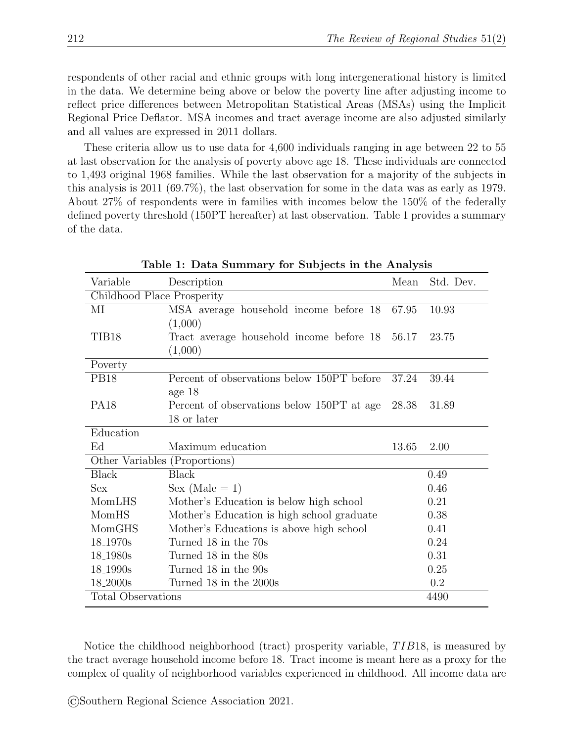respondents of other racial and ethnic groups with long intergenerational history is limited in the data. We determine being above or below the poverty line after adjusting income to reflect price differences between Metropolitan Statistical Areas (MSAs) using the Implicit Regional Price Deflator. MSA incomes and tract average income are also adjusted similarly and all values are expressed in 2011 dollars.

These criteria allow us to use data for 4,600 individuals ranging in age between 22 to 55 at last observation for the analysis of poverty above age 18. These individuals are connected to 1,493 original 1968 families. While the last observation for a majority of the subjects in this analysis is 2011 (69.7%), the last observation for some in the data was as early as 1979. About 27% of respondents were in families with incomes below the 150% of the federally defined poverty threshold (150PT hereafter) at last observation. Table 1 provides a summary of the data.

| Variable                   | Description                                    | Mean  | Std. Dev. |
|----------------------------|------------------------------------------------|-------|-----------|
| Childhood Place Prosperity |                                                |       |           |
| МI                         | MSA average household income before 18         | 67.95 | 10.93     |
|                            | (1,000)                                        |       |           |
| TIB18                      | Tract average household income before 18 56.17 |       | 23.75     |
|                            | (1,000)                                        |       |           |
| Poverty                    |                                                |       |           |
| <b>PB18</b>                | Percent of observations below 150PT before     | 37.24 | 39.44     |
|                            | age $18$                                       |       |           |
| <b>PA18</b>                | Percent of observations below 150PT at age     | 28.38 | 31.89     |
|                            | 18 or later                                    |       |           |
| Education                  |                                                |       |           |
| Ed                         | Maximum education                              | 13.65 | 2.00      |
|                            | Other Variables (Proportions)                  |       |           |
| <b>Black</b>               | <b>Black</b>                                   |       | 0.49      |
| <b>Sex</b>                 | Sex (Male = $1$ )                              |       | 0.46      |
| MomLHS                     | Mother's Education is below high school        |       | 0.21      |
| MomHS                      | Mother's Education is high school graduate     |       | 0.38      |
| MomGHS                     | Mother's Educations is above high school       |       | 0.41      |
| 18 <sub>-1970s</sub>       | Turned 18 in the 70s                           |       | 0.24      |
| 18 <sub>-1980s</sub>       | Turned 18 in the 80s                           |       | 0.31      |
| 18 <sub>-1990s</sub>       | Turned 18 in the 90s                           |       | 0.25      |
| 18 <sub>-2000s</sub>       | Turned 18 in the 2000s                         |       | 0.2       |
| <b>Total Observations</b>  |                                                |       | 4490      |

Table 1: Data Summary for Subjects in the Analysis

Notice the childhood neighborhood (tract) prosperity variable,  $TIB18$ , is measured by the tract average household income before 18. Tract income is meant here as a proxy for the complex of quality of neighborhood variables experienced in childhood. All income data are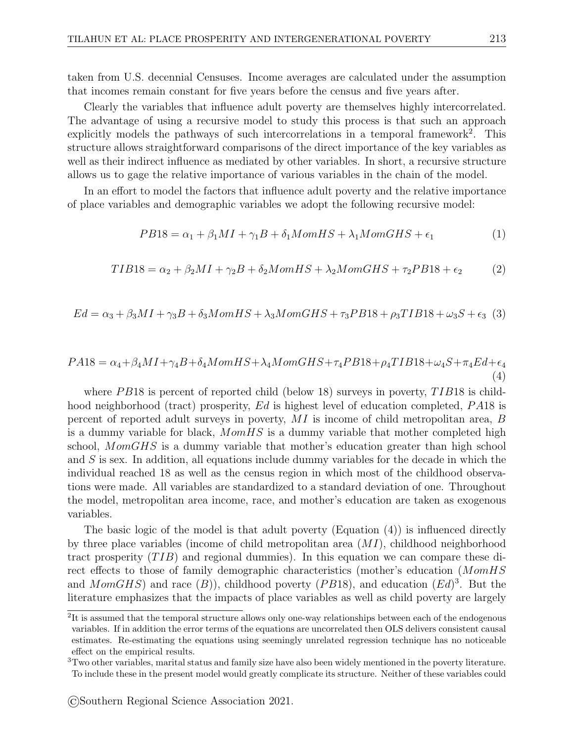taken from U.S. decennial Censuses. Income averages are calculated under the assumption that incomes remain constant for five years before the census and five years after.

Clearly the variables that influence adult poverty are themselves highly intercorrelated. The advantage of using a recursive model to study this process is that such an approach explicitly models the pathways of such intercorrelations in a temporal framework<sup>2</sup>. This structure allows straightforward comparisons of the direct importance of the key variables as well as their indirect influence as mediated by other variables. In short, a recursive structure allows us to gage the relative importance of various variables in the chain of the model.

In an effort to model the factors that influence adult poverty and the relative importance of place variables and demographic variables we adopt the following recursive model:

$$
PB18 = \alpha_1 + \beta_1 MI + \gamma_1 B + \delta_1 MomHS + \lambda_1 MomGHS + \epsilon_1
$$
\n(1)

$$
TIB18 = \alpha_2 + \beta_2 MI + \gamma_2 B + \delta_2 MomHS + \lambda_2 MomGHS + \tau_2 P B18 + \epsilon_2
$$
 (2)

$$
Ed = \alpha_3 + \beta_3 MI + \gamma_3 B + \delta_3 MomHS + \lambda_3 MomGHS + \tau_3 P B18 + \rho_3 TIB18 + \omega_3 S + \epsilon_3
$$
 (3)

$$
PA18 = \alpha_4 + \beta_4 M I + \gamma_4 B + \delta_4 M o m H S + \lambda_4 M o m G H S + \tau_4 P B 18 + \rho_4 T I B 18 + \omega_4 S + \pi_4 E d + \epsilon_4
$$
\n(4)

where PB18 is percent of reported child (below 18) surveys in poverty,  $TIB18$  is childhood neighborhood (tract) prosperity,  $Ed$  is highest level of education completed,  $PA18$  is percent of reported adult surveys in poverty, MI is income of child metropolitan area, B is a dummy variable for black, MomHS is a dummy variable that mother completed high school, MomGHS is a dummy variable that mother's education greater than high school and S is sex. In addition, all equations include dummy variables for the decade in which the individual reached 18 as well as the census region in which most of the childhood observations were made. All variables are standardized to a standard deviation of one. Throughout the model, metropolitan area income, race, and mother's education are taken as exogenous variables.

The basic logic of the model is that adult poverty (Equation (4)) is influenced directly by three place variables (income of child metropolitan area (MI), childhood neighborhood tract prosperity  $(TIB)$  and regional dummies). In this equation we can compare these direct effects to those of family demographic characteristics (mother's education (MomHS and MomGHS) and race  $(B)$ , childhood poverty (PB18), and education  $(Ed)^3$ . But the literature emphasizes that the impacts of place variables as well as child poverty are largely

<sup>&</sup>lt;sup>2</sup>It is assumed that the temporal structure allows only one-way relationships between each of the endogenous variables. If in addition the error terms of the equations are uncorrelated then OLS delivers consistent causal estimates. Re-estimating the equations using seemingly unrelated regression technique has no noticeable effect on the empirical results.

 $3$ Two other variables, marital status and family size have also been widely mentioned in the poverty literature. To include these in the present model would greatly complicate its structure. Neither of these variables could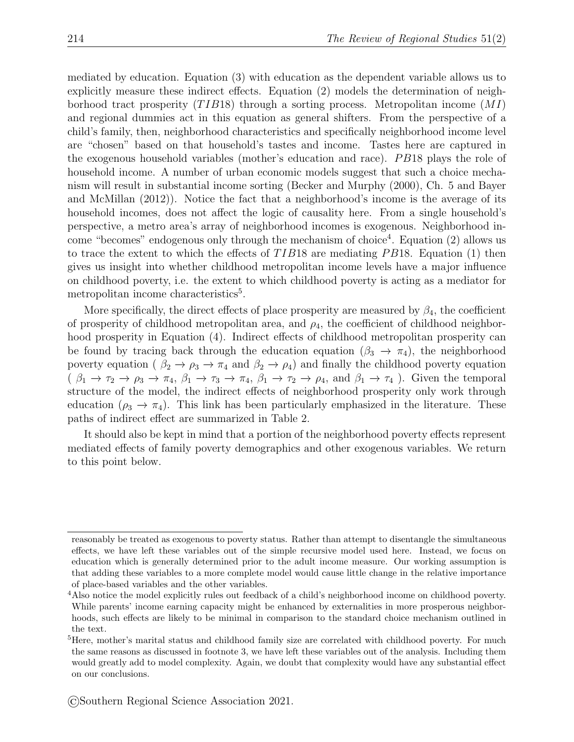mediated by education. Equation (3) with education as the dependent variable allows us to explicitly measure these indirect effects. Equation (2) models the determination of neighborhood tract prosperity  $(TIB18)$  through a sorting process. Metropolitan income  $(MI)$ and regional dummies act in this equation as general shifters. From the perspective of a child's family, then, neighborhood characteristics and specifically neighborhood income level are "chosen" based on that household's tastes and income. Tastes here are captured in the exogenous household variables (mother's education and race). *PB*18 plays the role of household income. A number of urban economic models suggest that such a choice mechanism will result in substantial income sorting (Becker and Murphy (2000), Ch. 5 and Bayer and McMillan (2012)). Notice the fact that a neighborhood's income is the average of its household incomes, does not affect the logic of causality here. From a single household's perspective, a metro area's array of neighborhood incomes is exogenous. Neighborhood income "becomes" endogenous only through the mechanism of choice<sup>4</sup>. Equation (2) allows us to trace the extent to which the effects of  $TIB18$  are mediating PB18. Equation (1) then gives us insight into whether childhood metropolitan income levels have a major influence on childhood poverty, i.e. the extent to which childhood poverty is acting as a mediator for metropolitan income characteristics<sup>5</sup>.

More specifically, the direct effects of place prosperity are measured by  $\beta_4$ , the coefficient of prosperity of childhood metropolitan area, and  $\rho_4$ , the coefficient of childhood neighborhood prosperity in Equation (4). Indirect effects of childhood metropolitan prosperity can be found by tracing back through the education equation ( $\beta_3 \rightarrow \pi_4$ ), the neighborhood poverty equation ( $\beta_2 \rightarrow \rho_3 \rightarrow \pi_4$  and  $\beta_2 \rightarrow \rho_4$ ) and finally the childhood poverty equation  $(\beta_1 \to \tau_2 \to \rho_3 \to \pi_4, \beta_1 \to \tau_3 \to \pi_4, \beta_1 \to \tau_2 \to \rho_4$ , and  $\beta_1 \to \tau_4$ ). Given the temporal structure of the model, the indirect effects of neighborhood prosperity only work through education ( $\rho_3 \rightarrow \pi_4$ ). This link has been particularly emphasized in the literature. These paths of indirect effect are summarized in Table 2.

It should also be kept in mind that a portion of the neighborhood poverty effects represent mediated effects of family poverty demographics and other exogenous variables. We return to this point below.

reasonably be treated as exogenous to poverty status. Rather than attempt to disentangle the simultaneous effects, we have left these variables out of the simple recursive model used here. Instead, we focus on education which is generally determined prior to the adult income measure. Our working assumption is that adding these variables to a more complete model would cause little change in the relative importance of place-based variables and the other variables.

<sup>4</sup>Also notice the model explicitly rules out feedback of a child's neighborhood income on childhood poverty. While parents' income earning capacity might be enhanced by externalities in more prosperous neighborhoods, such effects are likely to be minimal in comparison to the standard choice mechanism outlined in the text.

<sup>&</sup>lt;sup>5</sup>Here, mother's marital status and childhood family size are correlated with childhood poverty. For much the same reasons as discussed in footnote 3, we have left these variables out of the analysis. Including them would greatly add to model complexity. Again, we doubt that complexity would have any substantial effect on our conclusions.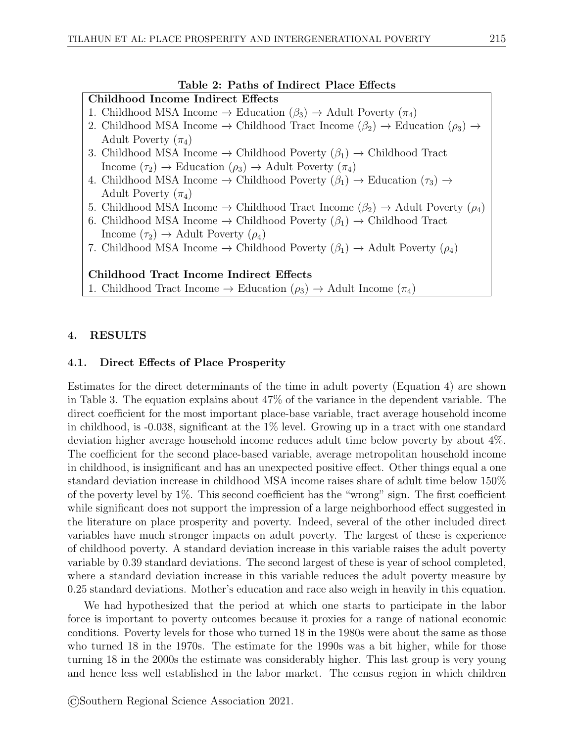#### Table 2: Paths of Indirect Place Effects

# Childhood Income Indirect Effects

- 1. Childhood MSA Income  $\rightarrow$  Education  $(\beta_3) \rightarrow$  Adult Poverty  $(\pi_4)$
- 2. Childhood MSA Income  $\rightarrow$  Childhood Tract Income  $(\beta_2) \rightarrow$  Education  $(\rho_3) \rightarrow$ Adult Poverty  $(\pi_4)$
- 3. Childhood MSA Income  $\rightarrow$  Childhood Poverty ( $\beta_1$ ) → Childhood Tract Income  $(\tau_2) \rightarrow$  Education  $(\rho_3) \rightarrow$  Adult Poverty  $(\pi_4)$
- 4. Childhood MSA Income  $\rightarrow$  Childhood Poverty  $(\beta_1) \rightarrow$  Education  $(\tau_3) \rightarrow$ Adult Poverty  $(\pi_4)$
- 5. Childhood MSA Income  $\rightarrow$  Childhood Tract Income  $(\beta_2) \rightarrow$  Adult Poverty  $(\rho_4)$
- 6. Childhood MSA Income  $\rightarrow$  Childhood Poverty ( $\beta_1$ ) → Childhood Tract Income  $(\tau_2) \rightarrow$  Adult Poverty  $(\rho_4)$
- 7. Childhood MSA Income  $\rightarrow$  Childhood Poverty  $(\beta_1) \rightarrow$  Adult Poverty  $(\rho_4)$

# Childhood Tract Income Indirect Effects

1. Childhood Tract Income → Education  $(\rho_3)$  → Adult Income  $(\pi_4)$ 

# 4. RESULTS

# 4.1. Direct Effects of Place Prosperity

Estimates for the direct determinants of the time in adult poverty (Equation 4) are shown in Table 3. The equation explains about 47% of the variance in the dependent variable. The direct coefficient for the most important place-base variable, tract average household income in childhood, is  $-0.038$ , significant at the  $1\%$  level. Growing up in a tract with one standard deviation higher average household income reduces adult time below poverty by about 4%. The coefficient for the second place-based variable, average metropolitan household income in childhood, is insignificant and has an unexpected positive effect. Other things equal a one standard deviation increase in childhood MSA income raises share of adult time below 150% of the poverty level by 1%. This second coefficient has the "wrong" sign. The first coefficient while significant does not support the impression of a large neighborhood effect suggested in the literature on place prosperity and poverty. Indeed, several of the other included direct variables have much stronger impacts on adult poverty. The largest of these is experience of childhood poverty. A standard deviation increase in this variable raises the adult poverty variable by 0.39 standard deviations. The second largest of these is year of school completed, where a standard deviation increase in this variable reduces the adult poverty measure by 0.25 standard deviations. Mother's education and race also weigh in heavily in this equation.

We had hypothesized that the period at which one starts to participate in the labor force is important to poverty outcomes because it proxies for a range of national economic conditions. Poverty levels for those who turned 18 in the 1980s were about the same as those who turned 18 in the 1970s. The estimate for the 1990s was a bit higher, while for those turning 18 in the 2000s the estimate was considerably higher. This last group is very young and hence less well established in the labor market. The census region in which children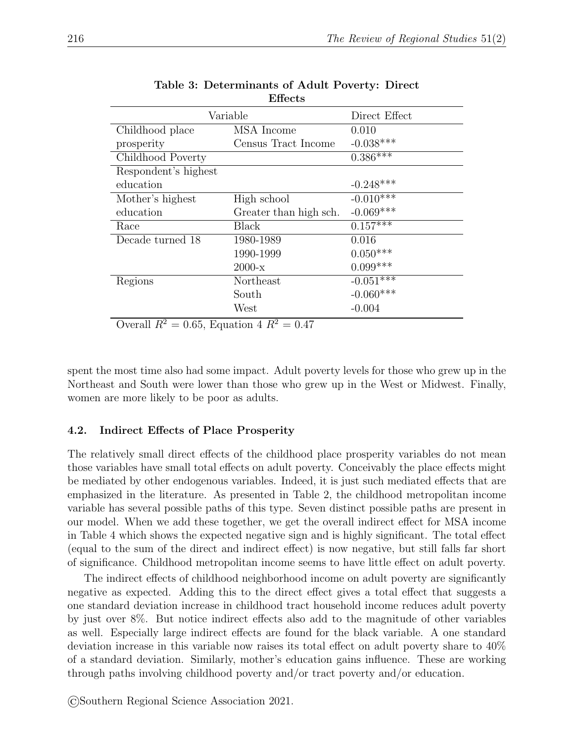| Liictis              |                        |               |
|----------------------|------------------------|---------------|
| Variable             |                        | Direct Effect |
| Childhood place      | MSA Income             | 0.010         |
| prosperity           | Census Tract Income    | $-0.038***$   |
| Childhood Poverty    |                        | $0.386***$    |
| Respondent's highest |                        |               |
| education            |                        | $-0.248***$   |
| Mother's highest     | High school            | $-0.010***$   |
| education            | Greater than high sch. | $-0.069***$   |
| Race                 | Black                  | $0.157***$    |
| Decade turned 18     | 1980-1989              | 0.016         |
|                      | 1990-1999              | $0.050***$    |
|                      | $2000 - x$             | $0.099***$    |
| Regions              | Northeast              | $-0.051***$   |
|                      | South                  | $-0.060***$   |
|                      | West                   | $-0.004$      |

| Table 3: Determinants of Adult Poverty: Direct |         |  |
|------------------------------------------------|---------|--|
|                                                | Effects |  |

Overall  $R^2 = 0.65$ , Equation 4  $R^2 = 0.47$ 

spent the most time also had some impact. Adult poverty levels for those who grew up in the Northeast and South were lower than those who grew up in the West or Midwest. Finally, women are more likely to be poor as adults.

# 4.2. Indirect Effects of Place Prosperity

The relatively small direct effects of the childhood place prosperity variables do not mean those variables have small total effects on adult poverty. Conceivably the place effects might be mediated by other endogenous variables. Indeed, it is just such mediated effects that are emphasized in the literature. As presented in Table 2, the childhood metropolitan income variable has several possible paths of this type. Seven distinct possible paths are present in our model. When we add these together, we get the overall indirect effect for MSA income in Table 4 which shows the expected negative sign and is highly significant. The total effect (equal to the sum of the direct and indirect effect) is now negative, but still falls far short of significance. Childhood metropolitan income seems to have little effect on adult poverty.

The indirect effects of childhood neighborhood income on adult poverty are significantly negative as expected. Adding this to the direct effect gives a total effect that suggests a one standard deviation increase in childhood tract household income reduces adult poverty by just over 8%. But notice indirect effects also add to the magnitude of other variables as well. Especially large indirect effects are found for the black variable. A one standard deviation increase in this variable now raises its total effect on adult poverty share to 40% of a standard deviation. Similarly, mother's education gains influence. These are working through paths involving childhood poverty and/or tract poverty and/or education.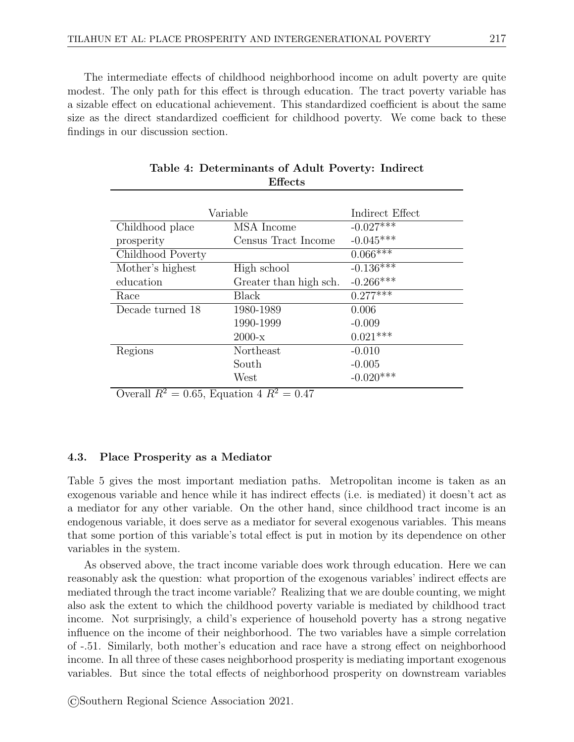The intermediate effects of childhood neighborhood income on adult poverty are quite modest. The only path for this effect is through education. The tract poverty variable has a sizable effect on educational achievement. This standardized coefficient is about the same size as the direct standardized coefficient for childhood poverty. We come back to these findings in our discussion section.

| Variable          |                        | Indirect Effect |
|-------------------|------------------------|-----------------|
| Childhood place   | MSA Income             | $-0.027***$     |
| prosperity        | Census Tract Income    | $-0.045***$     |
| Childhood Poverty |                        | $0.066***$      |
| Mother's highest  | High school            | $-0.136***$     |
| education         | Greater than high sch. | $-0.266***$     |
| Race              | Black                  | $0.277***$      |
| Decade turned 18  | 1980-1989              | 0.006           |
|                   | 1990-1999              | $-0.009$        |
|                   | $2000 - x$             | $0.021***$      |
| Regions           | Northeast              | $-0.010$        |
|                   | South                  | $-0.005$        |
|                   | West                   | $-0.020***$     |

Table 4: Determinants of Adult Poverty: Indirect Effects

Overall  $R^2 = 0.65$ , Equation 4  $R^2 = 0.47$ 

#### 4.3. Place Prosperity as a Mediator

Table 5 gives the most important mediation paths. Metropolitan income is taken as an exogenous variable and hence while it has indirect effects (i.e. is mediated) it doesn't act as a mediator for any other variable. On the other hand, since childhood tract income is an endogenous variable, it does serve as a mediator for several exogenous variables. This means that some portion of this variable's total effect is put in motion by its dependence on other variables in the system.

As observed above, the tract income variable does work through education. Here we can reasonably ask the question: what proportion of the exogenous variables' indirect effects are mediated through the tract income variable? Realizing that we are double counting, we might also ask the extent to which the childhood poverty variable is mediated by childhood tract income. Not surprisingly, a child's experience of household poverty has a strong negative influence on the income of their neighborhood. The two variables have a simple correlation of -.51. Similarly, both mother's education and race have a strong effect on neighborhood income. In all three of these cases neighborhood prosperity is mediating important exogenous variables. But since the total effects of neighborhood prosperity on downstream variables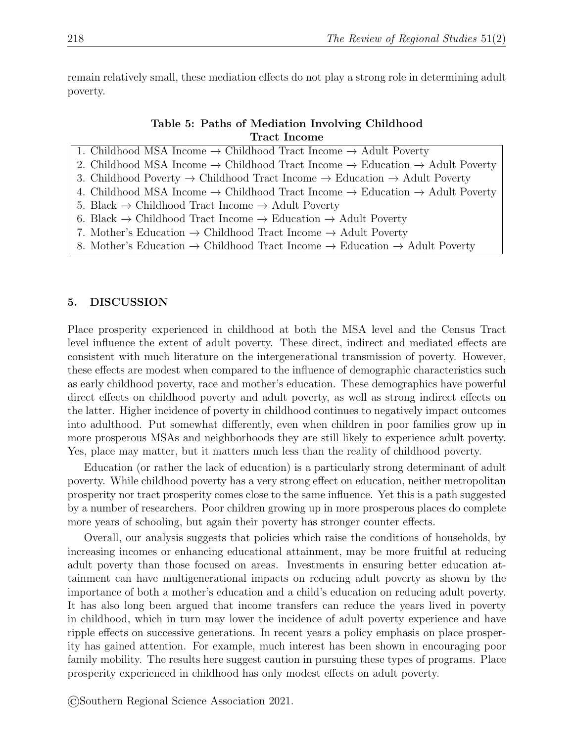remain relatively small, these mediation effects do not play a strong role in determining adult poverty.

| Table 5: Paths of Mediation Involving Childhood |              |  |
|-------------------------------------------------|--------------|--|
|                                                 | Tract Income |  |

| 1. Childhood MSA Income $\rightarrow$ Childhood Tract Income $\rightarrow$ Adult Poverty                         |
|------------------------------------------------------------------------------------------------------------------|
| 2. Childhood MSA Income $\rightarrow$ Childhood Tract Income $\rightarrow$ Education $\rightarrow$ Adult Poverty |
| 3. Childhood Poverty $\rightarrow$ Childhood Tract Income $\rightarrow$ Education $\rightarrow$ Adult Poverty    |
| 4. Childhood MSA Income $\rightarrow$ Childhood Tract Income $\rightarrow$ Education $\rightarrow$ Adult Poverty |
| 5. Black $\rightarrow$ Childhood Tract Income $\rightarrow$ Adult Poverty                                        |
| 6. Black $\rightarrow$ Childhood Tract Income $\rightarrow$ Education $\rightarrow$ Adult Poverty                |
| 7. Mother's Education $\rightarrow$ Childhood Tract Income $\rightarrow$ Adult Poverty                           |
| 8. Mother's Education $\rightarrow$ Childhood Tract Income $\rightarrow$ Education $\rightarrow$ Adult Poverty   |

#### 5. DISCUSSION

Place prosperity experienced in childhood at both the MSA level and the Census Tract level influence the extent of adult poverty. These direct, indirect and mediated effects are consistent with much literature on the intergenerational transmission of poverty. However, these effects are modest when compared to the influence of demographic characteristics such as early childhood poverty, race and mother's education. These demographics have powerful direct effects on childhood poverty and adult poverty, as well as strong indirect effects on the latter. Higher incidence of poverty in childhood continues to negatively impact outcomes into adulthood. Put somewhat differently, even when children in poor families grow up in more prosperous MSAs and neighborhoods they are still likely to experience adult poverty. Yes, place may matter, but it matters much less than the reality of childhood poverty.

Education (or rather the lack of education) is a particularly strong determinant of adult poverty. While childhood poverty has a very strong effect on education, neither metropolitan prosperity nor tract prosperity comes close to the same influence. Yet this is a path suggested by a number of researchers. Poor children growing up in more prosperous places do complete more years of schooling, but again their poverty has stronger counter effects.

Overall, our analysis suggests that policies which raise the conditions of households, by increasing incomes or enhancing educational attainment, may be more fruitful at reducing adult poverty than those focused on areas. Investments in ensuring better education attainment can have multigenerational impacts on reducing adult poverty as shown by the importance of both a mother's education and a child's education on reducing adult poverty. It has also long been argued that income transfers can reduce the years lived in poverty in childhood, which in turn may lower the incidence of adult poverty experience and have ripple effects on successive generations. In recent years a policy emphasis on place prosperity has gained attention. For example, much interest has been shown in encouraging poor family mobility. The results here suggest caution in pursuing these types of programs. Place prosperity experienced in childhood has only modest effects on adult poverty.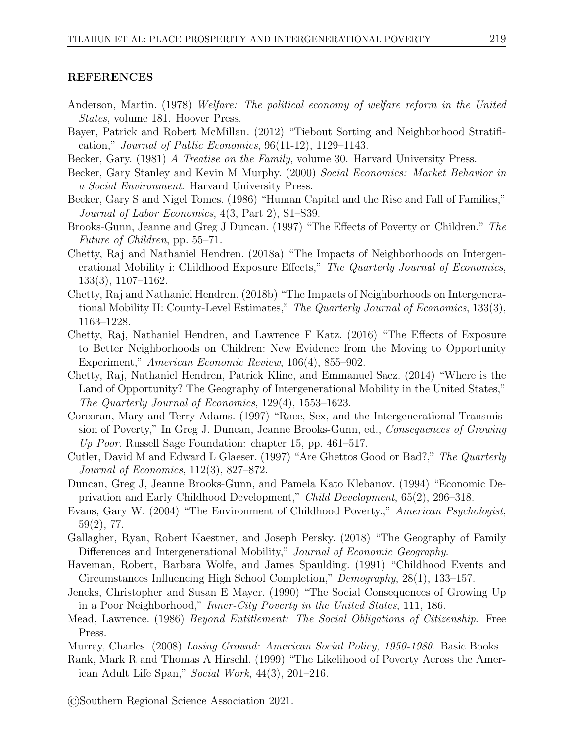#### REFERENCES

- Anderson, Martin. (1978) Welfare: The political economy of welfare reform in the United States, volume 181. Hoover Press.
- Bayer, Patrick and Robert McMillan. (2012) "Tiebout Sorting and Neighborhood Stratification," Journal of Public Economics, 96(11-12), 1129–1143.
- Becker, Gary. (1981) A Treatise on the Family, volume 30. Harvard University Press.
- Becker, Gary Stanley and Kevin M Murphy. (2000) Social Economics: Market Behavior in a Social Environment. Harvard University Press.
- Becker, Gary S and Nigel Tomes. (1986) "Human Capital and the Rise and Fall of Families," Journal of Labor Economics, 4(3, Part 2), S1–S39.
- Brooks-Gunn, Jeanne and Greg J Duncan. (1997) "The Effects of Poverty on Children," The Future of Children, pp. 55–71.
- Chetty, Raj and Nathaniel Hendren. (2018a) "The Impacts of Neighborhoods on Intergenerational Mobility i: Childhood Exposure Effects," The Quarterly Journal of Economics, 133(3), 1107–1162.
- Chetty, Raj and Nathaniel Hendren. (2018b) "The Impacts of Neighborhoods on Intergenerational Mobility II: County-Level Estimates," The Quarterly Journal of Economics, 133(3), 1163–1228.
- Chetty, Raj, Nathaniel Hendren, and Lawrence F Katz. (2016) "The Effects of Exposure to Better Neighborhoods on Children: New Evidence from the Moving to Opportunity Experiment," American Economic Review, 106(4), 855–902.
- Chetty, Raj, Nathaniel Hendren, Patrick Kline, and Emmanuel Saez. (2014) "Where is the Land of Opportunity? The Geography of Intergenerational Mobility in the United States," The Quarterly Journal of Economics, 129(4), 1553–1623.
- Corcoran, Mary and Terry Adams. (1997) "Race, Sex, and the Intergenerational Transmission of Poverty," In Greg J. Duncan, Jeanne Brooks-Gunn, ed., Consequences of Growing Up Poor. Russell Sage Foundation: chapter 15, pp. 461–517.
- Cutler, David M and Edward L Glaeser. (1997) "Are Ghettos Good or Bad?," The Quarterly Journal of Economics, 112(3), 827–872.
- Duncan, Greg J, Jeanne Brooks-Gunn, and Pamela Kato Klebanov. (1994) "Economic Deprivation and Early Childhood Development," Child Development, 65(2), 296–318.
- Evans, Gary W. (2004) "The Environment of Childhood Poverty.," American Psychologist, 59(2), 77.
- Gallagher, Ryan, Robert Kaestner, and Joseph Persky. (2018) "The Geography of Family Differences and Intergenerational Mobility," Journal of Economic Geography.
- Haveman, Robert, Barbara Wolfe, and James Spaulding. (1991) "Childhood Events and Circumstances Influencing High School Completion," Demography, 28(1), 133–157.
- Jencks, Christopher and Susan E Mayer. (1990) "The Social Consequences of Growing Up in a Poor Neighborhood," Inner-City Poverty in the United States, 111, 186.
- Mead, Lawrence. (1986) Beyond Entitlement: The Social Obligations of Citizenship. Free Press.
- Murray, Charles. (2008) Losing Ground: American Social Policy, 1950-1980. Basic Books.
- Rank, Mark R and Thomas A Hirschl. (1999) "The Likelihood of Poverty Across the American Adult Life Span," Social Work, 44(3), 201–216.